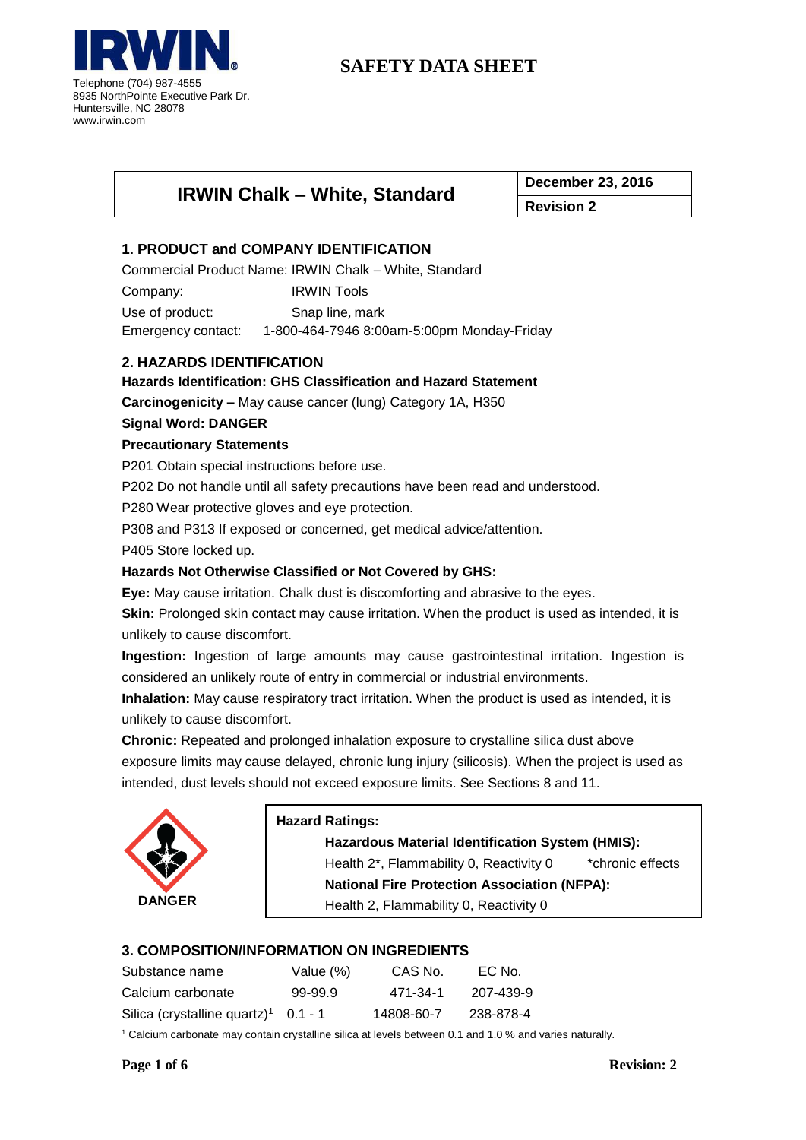

| <b>IRWIN Chalk - White, Standard</b> | <b>December 23, 2016</b> |  |
|--------------------------------------|--------------------------|--|
|                                      | <b>Revision 2</b>        |  |

# **1. PRODUCT and COMPANY IDENTIFICATION**

Commercial Product Name: IRWIN Chalk – White, Standard

Company: IRWIN Tools

Use of product: Snap line, mark Emergency contact: 1-800-464-7946 8:00am-5:00pm Monday-Friday

# **2. HAZARDS IDENTIFICATION**

**Hazards Identification: GHS Classification and Hazard Statement**

**Carcinogenicity –** May cause cancer (lung) Category 1A, H350

## **Signal Word: DANGER**

## **Precautionary Statements**

P201 Obtain special instructions before use.

P202 Do not handle until all safety precautions have been read and understood.

P280 Wear protective gloves and eye protection.

P308 and P313 If exposed or concerned, get medical advice/attention.

P405 Store locked up.

## **Hazards Not Otherwise Classified or Not Covered by GHS:**

**Eye:** May cause irritation. Chalk dust is discomforting and abrasive to the eyes.

**Skin:** Prolonged skin contact may cause irritation. When the product is used as intended, it is unlikely to cause discomfort.

**Ingestion:** Ingestion of large amounts may cause gastrointestinal irritation. Ingestion is considered an unlikely route of entry in commercial or industrial environments.

**Inhalation:** May cause respiratory tract irritation. When the product is used as intended, it is unlikely to cause discomfort.

**Chronic:** Repeated and prolonged inhalation exposure to crystalline silica dust above exposure limits may cause delayed, chronic lung injury (silicosis). When the project is used as intended, dust levels should not exceed exposure limits. See Sections 8 and 11.



## **Hazard Ratings:**

**Hazardous Material Identification System (HMIS):** Health 2<sup>\*</sup>, Flammability 0, Reactivity 0 \*chronic effects **National Fire Protection Association (NFPA):** Health 2, Flammability 0, Reactivity 0

# **3. COMPOSITION/INFORMATION ON INGREDIENTS**

| Substance name                           | Value (%) | CAS No.    | EC No.    |
|------------------------------------------|-----------|------------|-----------|
| Calcium carbonate                        | 99-99.9   | 471-34-1   | 207-439-9 |
| Silica (crystalline quartz) <sup>1</sup> | $0.1 - 1$ | 14808-60-7 | 238-878-4 |

<sup>1</sup> Calcium carbonate may contain crystalline silica at levels between 0.1 and 1.0 % and varies naturally.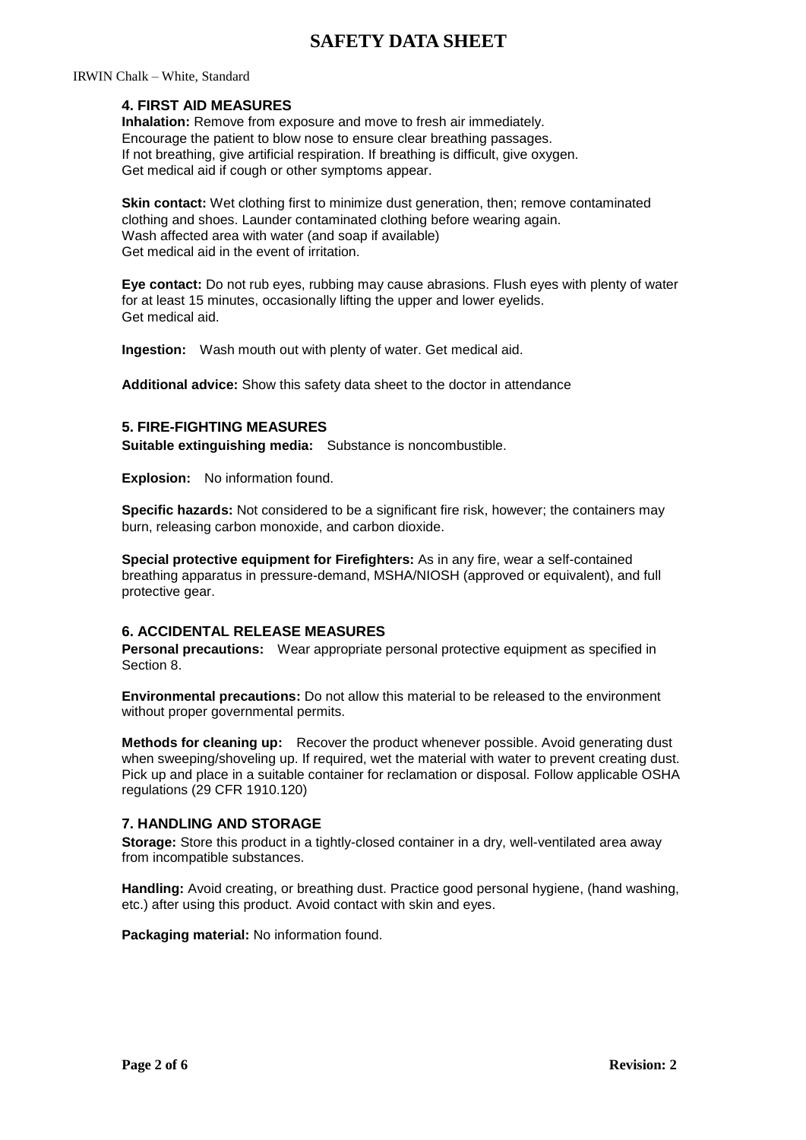#### IRWIN Chalk – White, Standard

## **4. FIRST AID MEASURES**

**Inhalation:** Remove from exposure and move to fresh air immediately. Encourage the patient to blow nose to ensure clear breathing passages. If not breathing, give artificial respiration. If breathing is difficult, give oxygen. Get medical aid if cough or other symptoms appear.

**Skin contact:** Wet clothing first to minimize dust generation, then; remove contaminated clothing and shoes. Launder contaminated clothing before wearing again. Wash affected area with water (and soap if available) Get medical aid in the event of irritation.

**Eye contact:** Do not rub eyes, rubbing may cause abrasions. Flush eyes with plenty of water for at least 15 minutes, occasionally lifting the upper and lower eyelids. Get medical aid.

**Ingestion:** Wash mouth out with plenty of water. Get medical aid.

**Additional advice:** Show this safety data sheet to the doctor in attendance

### **5. FIRE-FIGHTING MEASURES**

**Suitable extinguishing media:** Substance is noncombustible.

**Explosion:** No information found.

**Specific hazards:** Not considered to be a significant fire risk, however; the containers may burn, releasing carbon monoxide, and carbon dioxide.

**Special protective equipment for Firefighters:** As in any fire, wear a self-contained breathing apparatus in pressure-demand, MSHA/NIOSH (approved or equivalent), and full protective gear.

## **6. ACCIDENTAL RELEASE MEASURES**

**Personal precautions:** Wear appropriate personal protective equipment as specified in Section 8.

**Environmental precautions:** Do not allow this material to be released to the environment without proper governmental permits.

**Methods for cleaning up:** Recover the product whenever possible. Avoid generating dust when sweeping/shoveling up. If required, wet the material with water to prevent creating dust. Pick up and place in a suitable container for reclamation or disposal. Follow applicable OSHA regulations (29 CFR 1910.120)

## **7. HANDLING AND STORAGE**

**Storage:** Store this product in a tightly-closed container in a dry, well-ventilated area away from incompatible substances.

**Handling:** Avoid creating, or breathing dust. Practice good personal hygiene, (hand washing, etc.) after using this product. Avoid contact with skin and eyes.

**Packaging material:** No information found.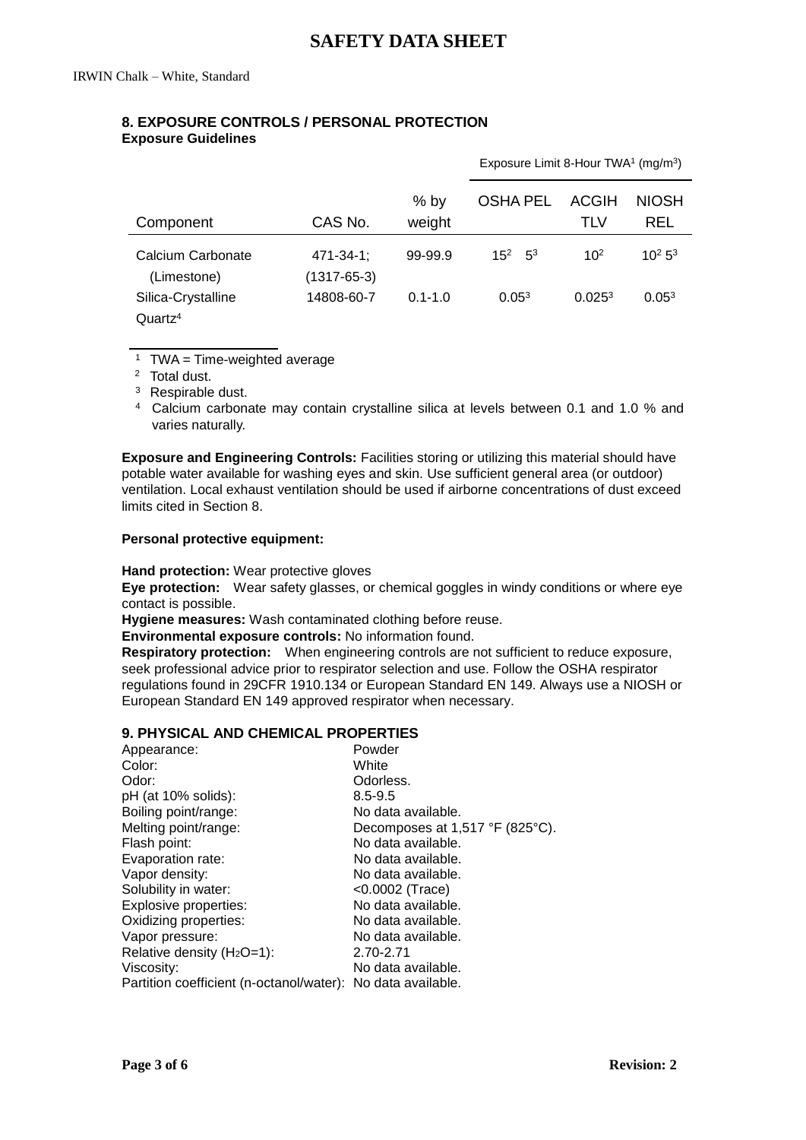# **8. EXPOSURE CONTROLS / PERSONAL PROTECTION Exposure Guidelines**

|                                   |                                 |                  | Exposure Limit 8-Hour TWA <sup>1</sup> (mg/m <sup>3</sup> ) |                     |                     |
|-----------------------------------|---------------------------------|------------------|-------------------------------------------------------------|---------------------|---------------------|
| Component                         | CAS No.                         | $%$ by<br>weight | <b>OSHA PEL</b>                                             | <b>ACGIH</b><br>TLV | <b>NIOSH</b><br>REL |
| Calcium Carbonate                 | 471-34-1:                       | 99-99.9          | $15^2$ 5 <sup>3</sup>                                       | 10 <sup>2</sup>     | $10^2 5^3$          |
| (Limestone)<br>Silica-Crystalline | $(1317 - 65 - 3)$<br>14808-60-7 | $0.1 - 1.0$      | 0.05 <sup>3</sup>                                           | 0.025 <sup>3</sup>  | 0.05 <sup>3</sup>   |
| Quartz <sup>4</sup>               |                                 |                  |                                                             |                     |                     |

<sup>1</sup> TWA = Time-weighted average

<sup>2</sup> Total dust.

 $\overline{a}$ 

<sup>3</sup> Respirable dust.

<sup>4</sup> Calcium carbonate may contain crystalline silica at levels between 0.1 and 1.0 % and varies naturally.

**Exposure and Engineering Controls:** Facilities storing or utilizing this material should have potable water available for washing eyes and skin. Use sufficient general area (or outdoor) ventilation. Local exhaust ventilation should be used if airborne concentrations of dust exceed limits cited in Section 8.

#### **Personal protective equipment:**

**Hand protection:** Wear protective gloves

**Eye protection:** Wear safety glasses, or chemical goggles in windy conditions or where eye contact is possible.

**Hygiene measures:** Wash contaminated clothing before reuse.

**Environmental exposure controls:** No information found.

**Respiratory protection:** When engineering controls are not sufficient to reduce exposure, seek professional advice prior to respirator selection and use. Follow the OSHA respirator regulations found in 29CFR 1910.134 or European Standard EN 149. Always use a NIOSH or European Standard EN 149 approved respirator when necessary.

# **9. PHYSICAL AND CHEMICAL PROPERTIES**

| Powder                                                      |
|-------------------------------------------------------------|
| White                                                       |
| Odorless.                                                   |
| $8.5 - 9.5$                                                 |
| No data available.                                          |
| Decomposes at 1,517 °F (825°C).                             |
| No data available.                                          |
| No data available.                                          |
| No data available.                                          |
| <0.0002 (Trace)                                             |
| No data available.                                          |
| No data available.                                          |
| No data available.                                          |
| 2.70-2.71                                                   |
| No data available.                                          |
| Partition coefficient (n-octanol/water): No data available. |
|                                                             |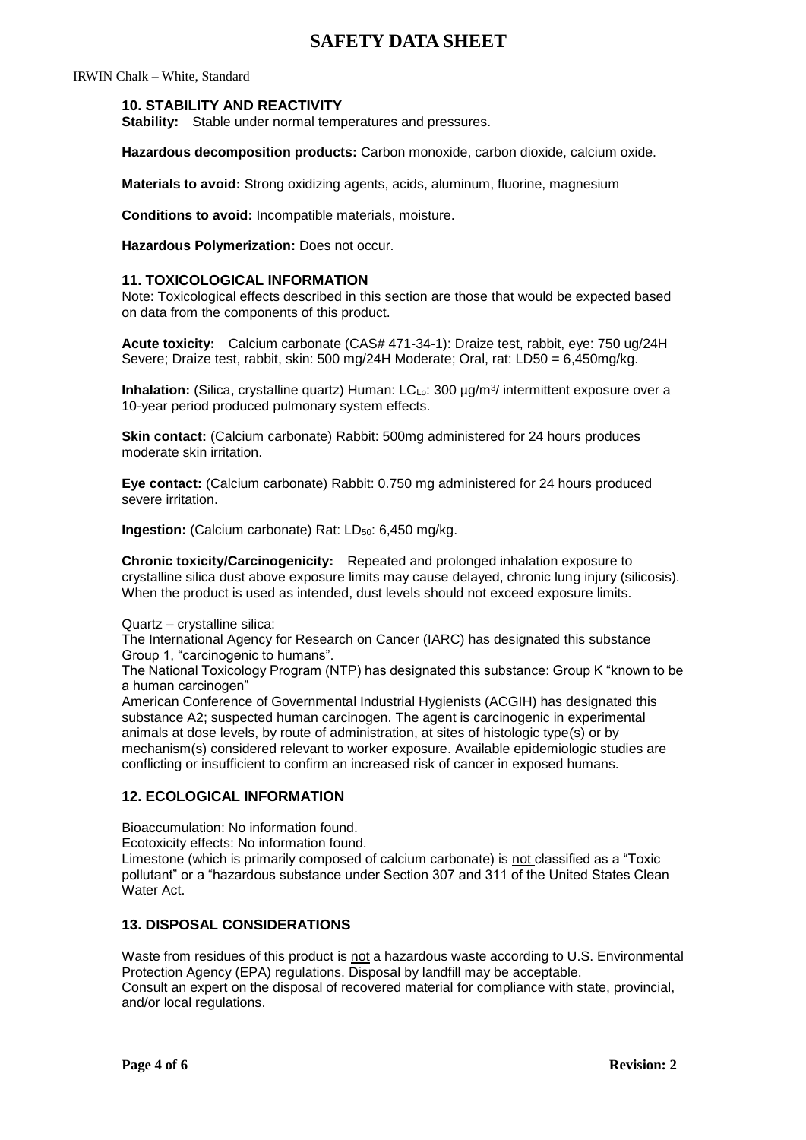IRWIN Chalk – White, Standard

### **10. STABILITY AND REACTIVITY**

**Stability:** Stable under normal temperatures and pressures.

**Hazardous decomposition products:** Carbon monoxide, carbon dioxide, calcium oxide.

**Materials to avoid:** Strong oxidizing agents, acids, aluminum, fluorine, magnesium

**Conditions to avoid:** Incompatible materials, moisture.

**Hazardous Polymerization:** Does not occur.

#### **11. TOXICOLOGICAL INFORMATION**

Note: Toxicological effects described in this section are those that would be expected based on data from the components of this product.

**Acute toxicity:** Calcium carbonate (CAS# 471-34-1): Draize test, rabbit, eye: 750 ug/24H Severe; Draize test, rabbit, skin: 500 mg/24H Moderate; Oral, rat: LD50 = 6,450mg/kg.

**Inhalation:** (Silica, crystalline quartz) Human: LCL<sub>o</sub>: 300 µg/m<sup>3</sup>/ intermittent exposure over a 10-year period produced pulmonary system effects.

**Skin contact:** (Calcium carbonate) Rabbit: 500mg administered for 24 hours produces moderate skin irritation.

**Eye contact:** (Calcium carbonate) Rabbit: 0.750 mg administered for 24 hours produced severe irritation.

**Ingestion:** (Calcium carbonate) Rat: LD<sub>50</sub>: 6,450 mg/kg.

**Chronic toxicity/Carcinogenicity:** Repeated and prolonged inhalation exposure to crystalline silica dust above exposure limits may cause delayed, chronic lung injury (silicosis). When the product is used as intended, dust levels should not exceed exposure limits.

Quartz – crystalline silica:

The International Agency for Research on Cancer (IARC) has designated this substance Group 1, "carcinogenic to humans".

The National Toxicology Program (NTP) has designated this substance: Group K "known to be a human carcinogen"

American Conference of Governmental Industrial Hygienists (ACGIH) has designated this substance A2; suspected human carcinogen. The agent is carcinogenic in experimental animals at dose levels, by route of administration, at sites of histologic type(s) or by mechanism(s) considered relevant to worker exposure. Available epidemiologic studies are conflicting or insufficient to confirm an increased risk of cancer in exposed humans.

## **12. ECOLOGICAL INFORMATION**

Bioaccumulation: No information found.

Ecotoxicity effects: No information found.

Limestone (which is primarily composed of calcium carbonate) is not classified as a "Toxic pollutant" or a "hazardous substance under Section 307 and 311 of the United States Clean Water Act.

## **13. DISPOSAL CONSIDERATIONS**

Waste from residues of this product is not a hazardous waste according to U.S. Environmental Protection Agency (EPA) regulations. Disposal by landfill may be acceptable. Consult an expert on the disposal of recovered material for compliance with state, provincial, and/or local regulations.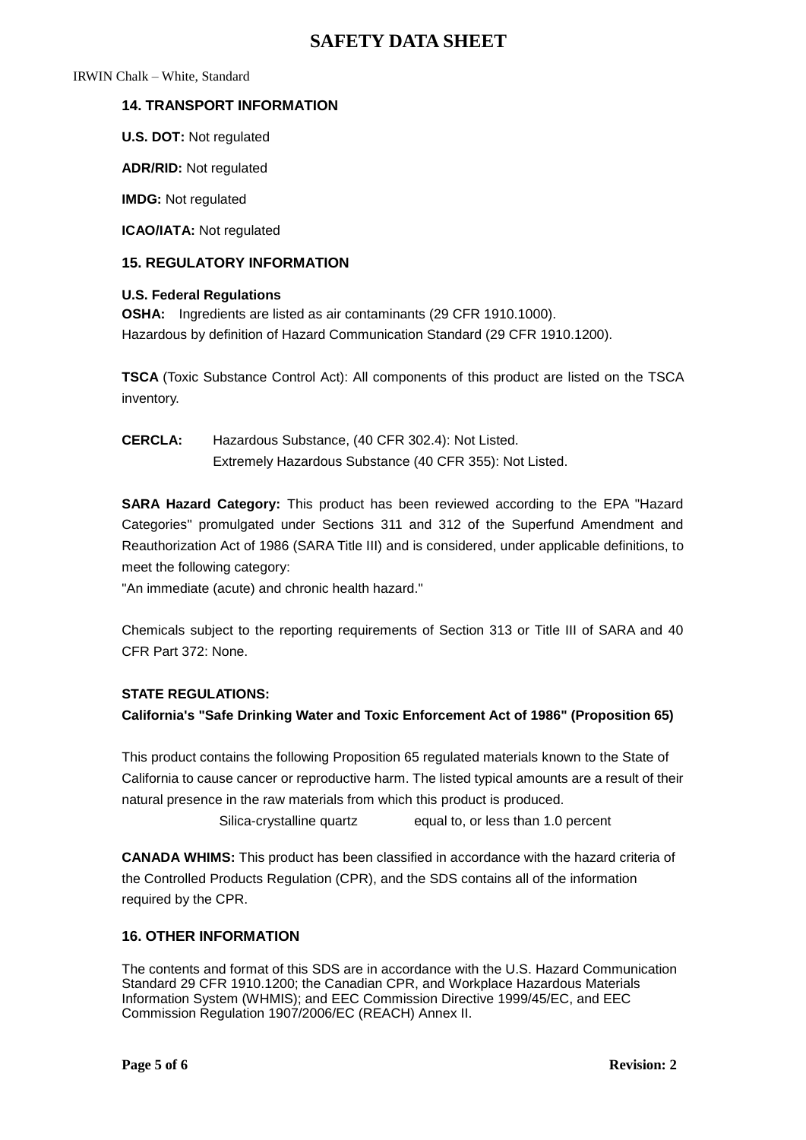IRWIN Chalk – White, Standard

# **14. TRANSPORT INFORMATION**

**U.S. DOT:** Not regulated

**ADR/RID:** Not regulated

**IMDG:** Not regulated

**ICAO/IATA:** Not regulated

# **15. REGULATORY INFORMATION**

# **U.S. Federal Regulations**

**OSHA:** Ingredients are listed as air contaminants (29 CFR 1910.1000). Hazardous by definition of Hazard Communication Standard (29 CFR 1910.1200).

**TSCA** (Toxic Substance Control Act): All components of this product are listed on the TSCA inventory.

**CERCLA:** Hazardous Substance, (40 CFR 302.4): Not Listed. Extremely Hazardous Substance (40 CFR 355): Not Listed.

**SARA Hazard Category:** This product has been reviewed according to the EPA "Hazard Categories" promulgated under Sections 311 and 312 of the Superfund Amendment and Reauthorization Act of 1986 (SARA Title III) and is considered, under applicable definitions, to meet the following category:

"An immediate (acute) and chronic health hazard."

Chemicals subject to the reporting requirements of Section 313 or Title III of SARA and 40 CFR Part 372: None.

## **STATE REGULATIONS:**

**California's "Safe Drinking Water and Toxic Enforcement Act of 1986" (Proposition 65)**

This product contains the following Proposition 65 regulated materials known to the State of California to cause cancer or reproductive harm. The listed typical amounts are a result of their natural presence in the raw materials from which this product is produced.

Silica-crystalline quartz equal to, or less than 1.0 percent

**CANADA WHIMS:** This product has been classified in accordance with the hazard criteria of the Controlled Products Regulation (CPR), and the SDS contains all of the information required by the CPR.

# **16. OTHER INFORMATION**

The contents and format of this SDS are in accordance with the U.S. Hazard Communication Standard 29 CFR 1910.1200; the Canadian CPR, and Workplace Hazardous Materials Information System (WHMIS); and EEC Commission Directive 1999/45/EC, and EEC Commission Regulation 1907/2006/EC (REACH) Annex II.